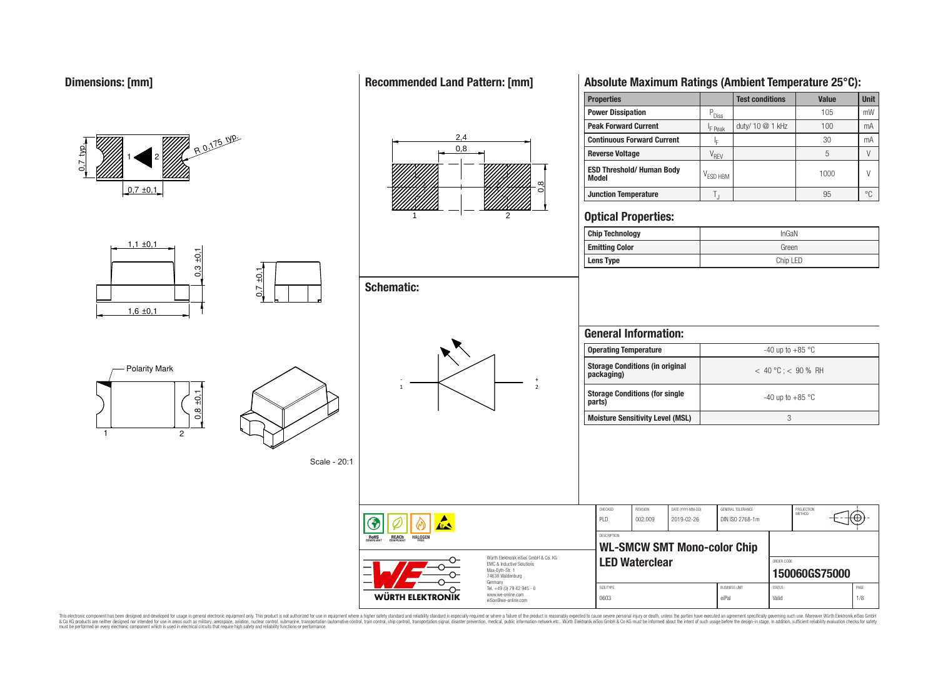

This electronic component has been designed and developed for usage in general electronic equipment only. This product is not authorized for use in equipment where a higher safely standard and reliability standard si espec & Ook product a label and the membed of the seasuch as marked and as which such a membed and the such assume that income in the seasuch and the simulation and the such assume that include to the such a membed and the such

## **Recommended Land Pattern: [mm]**

**Properties Test conditions Value Unit** 

**Absolute Maximum Ratings (Ambient Temperature 25°C):**

30 mA

95 °C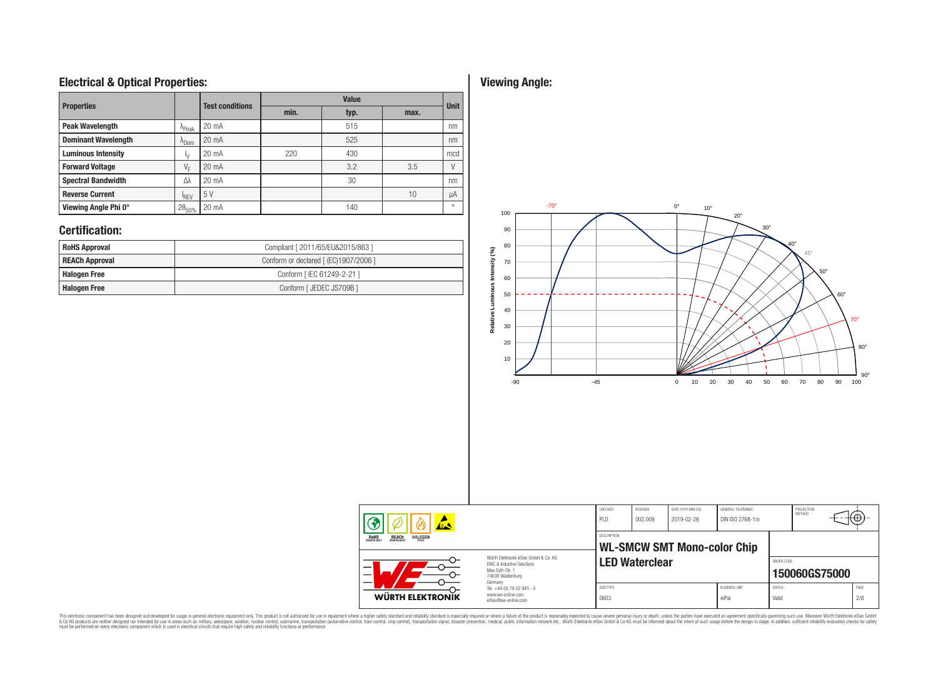# **Electrical & Optical Properties:**

| <b>Properties</b>          |                  | <b>Test conditions</b> |      | <b>Value</b> | <b>Unit</b> |          |  |
|----------------------------|------------------|------------------------|------|--------------|-------------|----------|--|
|                            |                  |                        | min. | typ.         |             |          |  |
| <b>Peak Wavelength</b>     | $A$ Peak         | 20 mA                  |      | 515          |             | nm       |  |
| <b>Dominant Wavelength</b> | $^{\Lambda}$ Dom | 20 mA                  |      | 525          |             | nm       |  |
| <b>Luminous Intensity</b>  | Ι۷               | 20 mA                  | 220  | 430          |             | mcd      |  |
| <b>Forward Voltage</b>     | $V_F$            | 20 mA                  |      | 3.2          | 3.5         |          |  |
| <b>Spectral Bandwidth</b>  | Λλ               | $20 \text{ mA}$        |      | 30           |             | nm       |  |
| <b>Reverse Current</b>     | <sup>I</sup> RFV | 5 V                    |      |              | 10          | μA       |  |
| Viewing Angle Phi 0°       | $2\theta_{50\%}$ | $20 \text{ mA}$        |      | 140          |             | $\Omega$ |  |

# **Certification:**

| <b>RoHS Approval</b>  | Compliant [ 2011/65/EU&2015/863 ]     |
|-----------------------|---------------------------------------|
| <b>REACh Approval</b> | Conform or declared [ (EC)1907/2006 ] |
| Halogen Free          | Conform [ IEC 61249-2-21 ]            |
| <b>Halogen Free</b>   | Conform [ JEDEC JS709B ]              |

# **Viewing Angle:**



| 夜人                                                                                                                                                                          |                                                                                   | CHECKED<br>PLD     | REVISION<br>002.009   | DATE (YYYY-MM-DD)<br>2019-02-26    | GENERAL TOLERANCE<br>DIN ISO 2768-1m |                        | PROJECTION<br><b>METHOD</b> | ₩           |
|-----------------------------------------------------------------------------------------------------------------------------------------------------------------------------|-----------------------------------------------------------------------------------|--------------------|-----------------------|------------------------------------|--------------------------------------|------------------------|-----------------------------|-------------|
| <b>REACH</b><br>COMPLIANT<br><b>HALOGEN</b><br><b>ROHS</b><br>COMPLIANT<br>FRFF                                                                                             |                                                                                   | <b>DESCRIPTION</b> |                       | <b>WL-SMCW SMT Mono-color Chip</b> |                                      |                        |                             |             |
| Würth Elektronik eiSos GmbH & Co. KG<br><b>EMC &amp; Inductive Solutions</b><br>$\overline{\phantom{0}}$<br>Max-Eyth-Str. 1<br>$\overline{\phantom{0}}$<br>74638 Waldenburg |                                                                                   |                    | <b>LED Waterclear</b> |                                    |                                      | ORDER CODE             | 150060GS75000               |             |
| WÜRTH ELEKTRONIK                                                                                                                                                            | Germany<br>Tel. +49 (0) 79 42 945 - 0<br>www.we-online.com<br>eiSos@we-online.com | SIZE/TYPE<br>0603  |                       |                                    | <b>BUSINESS UNIT</b><br>eiPal        | <b>STATUS</b><br>Valid |                             | PAGE<br>2/8 |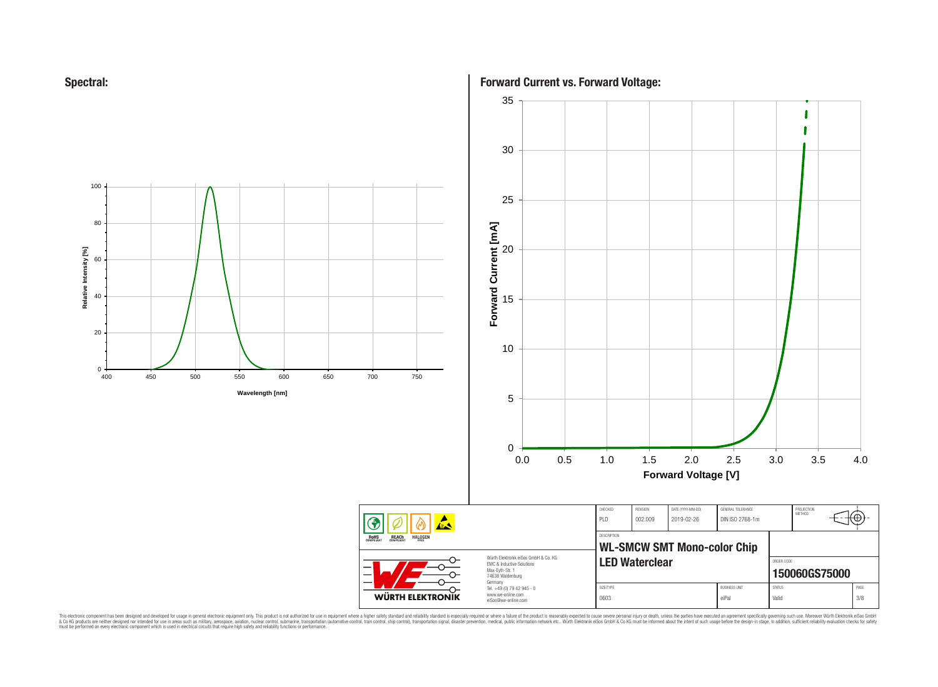



**Forward Current vs. Forward Voltage:**



This electronic component has been designed and developed for usage in general electronic equipment only. This product is not authorized for subserved requipment where a higher selection equipment where a higher selection

RoHS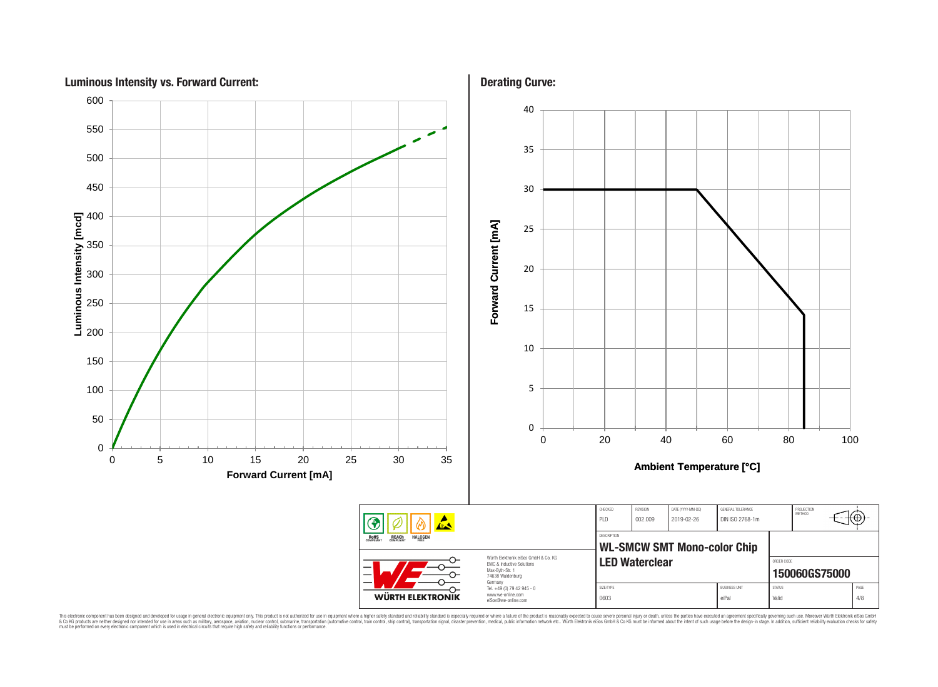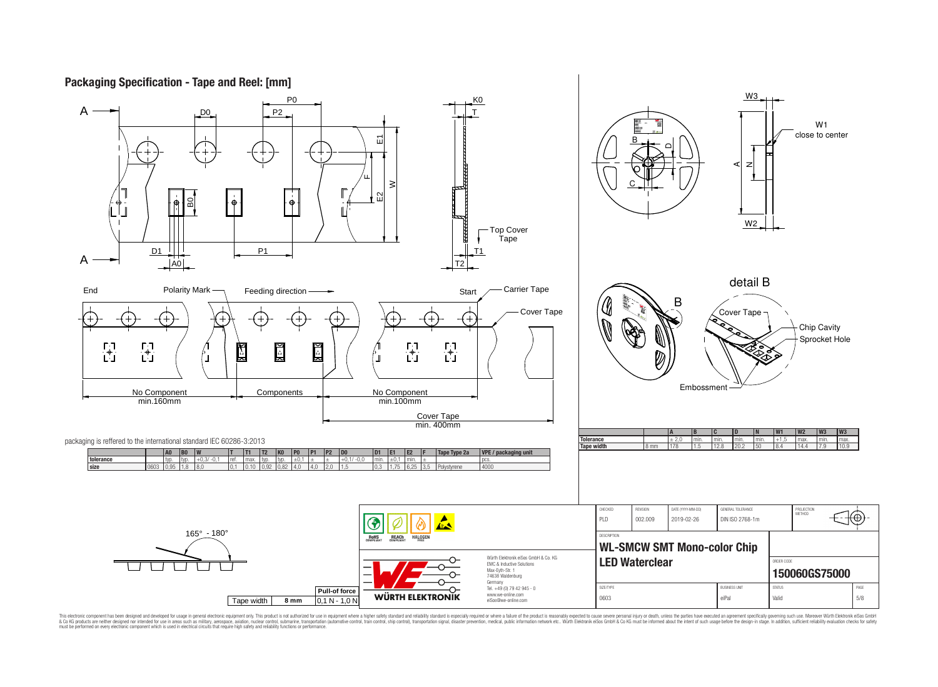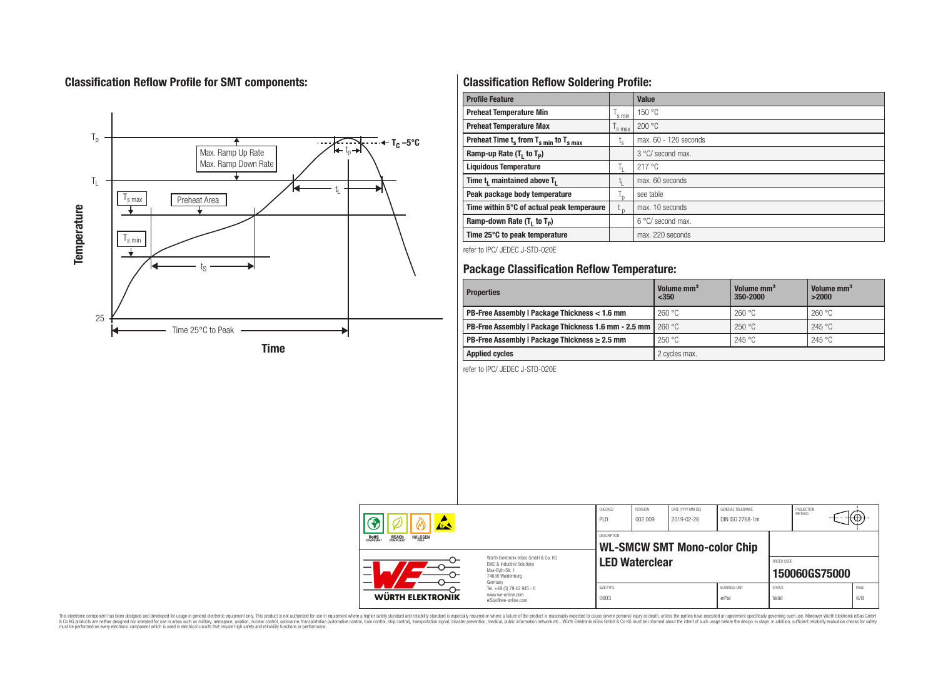# **Classification Reflow Profile for SMT components:**



# **Classification Reflow Soldering Profile:**

| <b>Profile Feature</b>                              |                | <b>Value</b>               |
|-----------------------------------------------------|----------------|----------------------------|
| <b>Preheat Temperature Min</b>                      | 's min         | 150 °C                     |
| <b>Preheat Temperature Max</b>                      | 's max         | 200 °C                     |
| Preheat Time $t_s$ from $T_{s min}$ to $T_{s max}$  | l <sub>s</sub> | max. 60 - 120 seconds      |
| Ramp-up Rate $(T_1$ to $T_p$ )                      |                | 3 °C/ second max.          |
| <b>Liquidous Temperature</b>                        | h.             | 217 °C                     |
| Time t <sub>1</sub> maintained above T <sub>1</sub> | կ              | max. 60 seconds            |
| Peak package body temperature                       | T <sub>n</sub> | see table                  |
| Time within 5°C of actual peak temperaure           | $t_{p}$        | max. 10 seconds            |
| Ramp-down Rate $(T_1$ to $T_p$ )                    |                | $6^{\circ}$ C/ second max. |
| Time 25°C to peak temperature                       |                | max. 220 seconds           |

refer to IPC/ JEDEC J-STD-020E

# **Package Classification Reflow Temperature:**

| <b>Properties</b>                                    | Volume mm <sup>3</sup><br>$<$ 350 | Volume mm <sup>3</sup><br>350-2000 | Volume mm <sup>3</sup><br>>2000 |
|------------------------------------------------------|-----------------------------------|------------------------------------|---------------------------------|
| PB-Free Assembly   Package Thickness < 1.6 mm        | 260 °C                            | 260 °C                             | 260 °C                          |
| PB-Free Assembly   Package Thickness 1.6 mm - 2.5 mm | 260 °C                            | 250 °C                             | 245 °C                          |
| PB-Free Assembly   Package Thickness $\geq 2.5$ mm   | 250 °C                            | 245 °C                             | 245 °C                          |
| <b>Applied cycles</b>                                | 2 cycles max.                     |                                    |                                 |

refer to IPC/ JEDEC J-STD-020E

| 农人                                                                                                                                  |                                                                        | CHECKED<br>PID     | REVISION<br>002.009   | DATE (YYYY-MM-DD)<br>2019-02-26    | GENERAL TOLERANCE<br>DIN ISO 2768-1m |                        | PROJECTION<br><b>METHOD</b> |             |
|-------------------------------------------------------------------------------------------------------------------------------------|------------------------------------------------------------------------|--------------------|-----------------------|------------------------------------|--------------------------------------|------------------------|-----------------------------|-------------|
| <b>ROHS</b><br><b>REACH</b><br>COMPLIANT<br><b>HALOGEN</b>                                                                          |                                                                        | <b>DESCRIPTION</b> |                       | <b>WL-SMCW SMT Mono-color Chip</b> |                                      |                        |                             |             |
| Würth Elektronik eiSos GmbH & Co. KG<br><b>EMC &amp; Inductive Solutions</b><br>—<br>Max-Evth-Str. 1<br>74638 Waldenburg<br>Germany |                                                                        |                    | <b>LED Waterclear</b> |                                    |                                      | ORDER CODE             | 150060GS75000               |             |
| <b>WÜRTH ELEKTRONIK</b>                                                                                                             | Tel. +49 (0) 79 42 945 - 0<br>www.we-online.com<br>eiSos@we-online.com | SIZE/TYPE<br>0603  |                       |                                    | <b>BUSINESS UNIT</b><br>eiPal        | <b>STATUS</b><br>Valid |                             | PAGE<br>6/8 |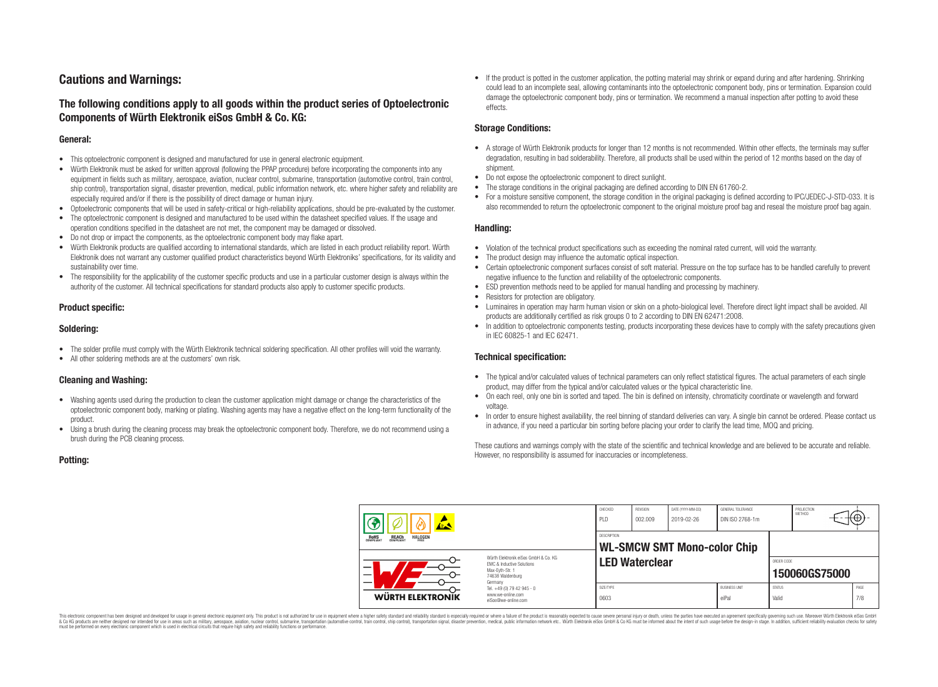# **Cautions and Warnings:**

## **The following conditions apply to all goods within the product series of Optoelectronic Components of Würth Elektronik eiSos GmbH & Co. KG:**

#### **General:**

- This optoelectronic component is designed and manufactured for use in general electronic equipment.
- Würth Elektronik must be asked for written approval (following the PPAP procedure) before incorporating the components into any equipment in fields such as military, aerospace, aviation, nuclear control, submarine, transportation (automotive control, train control, ship control), transportation signal, disaster prevention, medical, public information network, etc. where higher safety and reliability are especially required and/or if there is the possibility of direct damage or human injury.
- Optoelectronic components that will be used in safety-critical or high-reliability applications, should be pre-evaluated by the customer.
- The optoelectronic component is designed and manufactured to be used within the datasheet specified values. If the usage and operation conditions specified in the datasheet are not met, the component may be damaged or dissolved.
- Do not drop or impact the components, as the optoelectronic component body may flake apart.
- Würth Elektronik products are qualified according to international standards, which are listed in each product reliability report. Würth Elektronik does not warrant any customer qualified product characteristics beyond Würth Elektroniks' specifications, for its validity and sustainability over time.
- The responsibility for the applicability of the customer specific products and use in a particular customer design is always within the authority of the customer. All technical specifications for standard products also apply to customer specific products.

## **Product specific:**

#### **Soldering:**

- The solder profile must comply with the Würth Elektronik technical soldering specification. All other profiles will void the warranty.
- All other soldering methods are at the customers' own risk.

#### **Cleaning and Washing:**

- Washing agents used during the production to clean the customer application might damage or change the characteristics of the optoelectronic component body, marking or plating. Washing agents may have a negative effect on the long-term functionality of the product.
- Using a brush during the cleaning process may break the optoelectronic component body. Therefore, we do not recommend using a brush during the PCB cleaning process.

• If the product is potted in the customer application, the potting material may shrink or expand during and after hardening. Shrinking could lead to an incomplete seal, allowing contaminants into the optoelectronic component body, pins or termination. Expansion could damage the optoelectronic component body, pins or termination. We recommend a manual inspection after potting to avoid these effects.

## **Storage Conditions:**

- A storage of Würth Elektronik products for longer than 12 months is not recommended. Within other effects, the terminals may suffer degradation, resulting in bad solderability. Therefore, all products shall be used within the period of 12 months based on the day of shipment.
- Do not expose the optoelectronic component to direct sunlight.
- The storage conditions in the original packaging are defined according to DIN EN 61760-2.
- For a moisture sensitive component, the storage condition in the original packaging is defined according to IPC/JEDEC-J-STD-033. It is also recommended to return the optoelectronic component to the original moisture proof bag and reseal the moisture proof bag again.

#### **Handling:**

- Violation of the technical product specifications such as exceeding the nominal rated current, will void the warranty.
- The product design may influence the automatic optical inspection.
- Certain optoelectronic component surfaces consist of soft material. Pressure on the top surface has to be handled carefully to prevent negative influence to the function and reliability of the optoelectronic components.
- ESD prevention methods need to be applied for manual handling and processing by machinery.
- Resistors for protection are obligatory.
- Luminaires in operation may harm human vision or skin on a photo-biological level. Therefore direct light impact shall be avoided. All products are additionally certified as risk groups 0 to 2 according to DIN EN 62471:2008.
- In addition to optoelectronic components testing, products incorporating these devices have to comply with the safety precautions given in IEC 60825-1 and IEC 62471.

#### **Technical specification:**

- The typical and/or calculated values of technical parameters can only reflect statistical figures. The actual parameters of each single product, may differ from the typical and/or calculated values or the typical characteristic line.
- On each reel, only one bin is sorted and taped. The bin is defined on intensity, chromaticity coordinate or wavelength and forward voltage.
- In order to ensure highest availability, the reel binning of standard deliveries can vary. A single bin cannot be ordered. Please contact us in advance, if you need a particular bin sorting before placing your order to clarify the lead time, MOQ and pricing.

These cautions and warnings comply with the state of the scientific and technical knowledge and are believed to be accurate and reliable. However, no responsibility is assumed for inaccuracies or incompleteness.

|                                                                                                                                                                                                     |                                                                                   | CHECKED<br>PLD    | <b>REVISION</b><br>002.009 | DATE (YYYY-MM-DD)<br>2019-02-26    | GENERAL TOLERANCE<br>DIN ISO 2768-1m |                        | PROJECTION<br><b>METHOD</b> | ťΨ          |
|-----------------------------------------------------------------------------------------------------------------------------------------------------------------------------------------------------|-----------------------------------------------------------------------------------|-------------------|----------------------------|------------------------------------|--------------------------------------|------------------------|-----------------------------|-------------|
| <b>REACH</b><br>COMPLIANT<br><b>HALOGEN</b><br><b>ROHS</b><br>COMPLIANT<br>Würth Flektronik eiSos GmbH & Co. KG<br><b>FMC &amp; Inductive Solutions</b><br>–<br>Max-Eyth-Str. 1<br>74638 Waldenburg |                                                                                   | DESCRIPTION       | <b>LED Waterclear</b>      | <b>WL-SMCW SMT Mono-color Chip</b> |                                      | ORDER CODE             | 150060GS75000               |             |
| WÜRTH ELEKTRONIK                                                                                                                                                                                    | Germany<br>Tel. +49 (0) 79 42 945 - 0<br>www.we-online.com<br>eiSos@we-online.com | SIZE/TYPE<br>0603 |                            |                                    | <b>BUSINESS UNIT</b><br>eiPal        | <b>STATUS</b><br>Valid |                             | PAGE<br>7/8 |

This electronic component has been designed and developed for usage in general electronic equipment only. This product is not authorized for use in equipment where a higher safety standard and reliability standard si espec & Ook product a label and the membed of the seasuch as marked and as which such a membed and the such assume that income in the seasuch and the simulation and the such assume that include to the such a membed and the such

**Potting:**